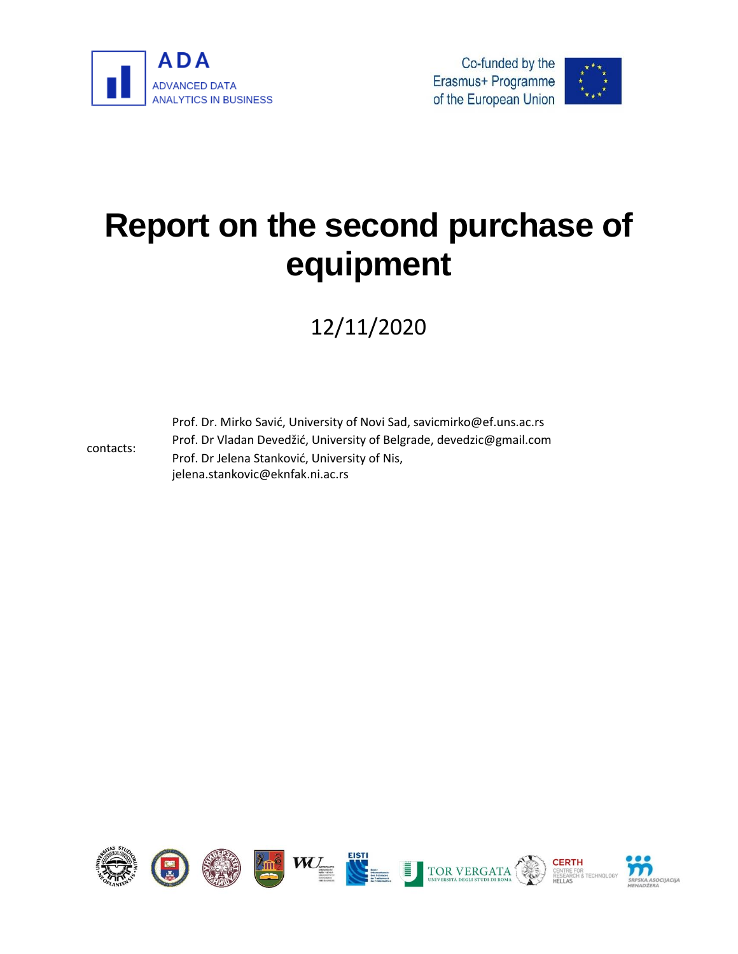

contacts:





# **Report on the second purchase of equipment**

12/11/2020

Prof. Dr. Mirko Savić, University of Novi Sad, savicmirko@ef.uns.ac.rs Prof. Dr Vladan Devedžić, University of Belgrade, devedzic@gmail.com Prof. Dr Jelena Stanković, University of Nis, jelena.stankovic@eknfak.ni.ac.rs

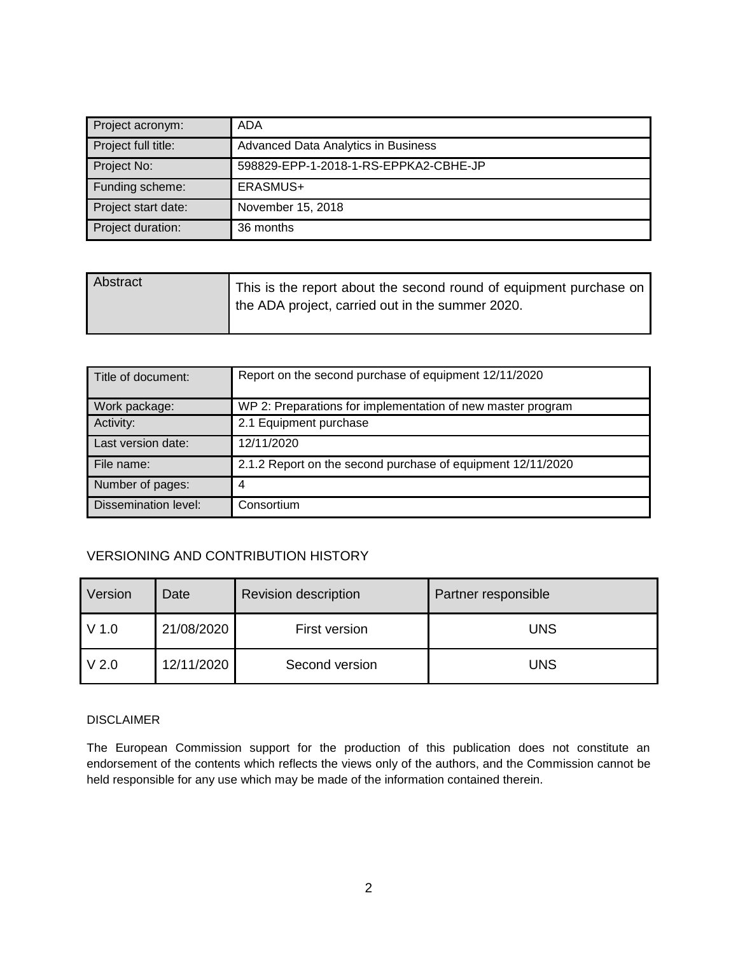| Project acronym:    | ADA                                   |
|---------------------|---------------------------------------|
| Project full title: | Advanced Data Analytics in Business   |
| Project No:         | 598829-EPP-1-2018-1-RS-EPPKA2-CBHE-JP |
| Funding scheme:     | ERASMUS+                              |
| Project start date: | November 15, 2018                     |
| Project duration:   | 36 months                             |

| Abstract | This is the report about the second round of equipment purchase on<br>the ADA project, carried out in the summer 2020. |
|----------|------------------------------------------------------------------------------------------------------------------------|
|          |                                                                                                                        |

| Title of document:   | Report on the second purchase of equipment 12/11/2020       |
|----------------------|-------------------------------------------------------------|
| Work package:        | WP 2: Preparations for implementation of new master program |
| Activity:            | 2.1 Equipment purchase                                      |
| Last version date:   | 12/11/2020                                                  |
| File name:           | 2.1.2 Report on the second purchase of equipment 12/11/2020 |
| Number of pages:     | 4                                                           |
| Dissemination level: | Consortium                                                  |

### VERSIONING AND CONTRIBUTION HISTORY

| Version          | Date       | <b>Revision description</b> | Partner responsible |  |
|------------------|------------|-----------------------------|---------------------|--|
| $V$ 1.0          | 21/08/2020 | First version               | <b>UNS</b>          |  |
| V <sub>2.0</sub> | 12/11/2020 | Second version              | <b>UNS</b>          |  |

### DISCLAIMER

The European Commission support for the production of this publication does not constitute an endorsement of the contents which reflects the views only of the authors, and the Commission cannot be held responsible for any use which may be made of the information contained therein.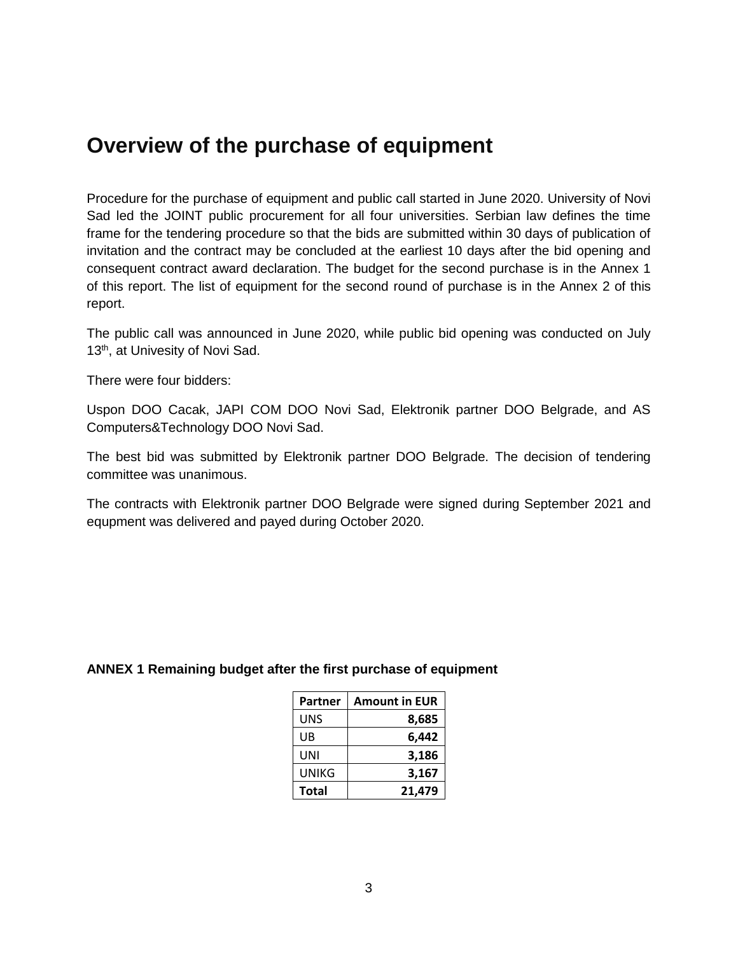## **Overview of the purchase of equipment**

Procedure for the purchase of equipment and public call started in June 2020. University of Novi Sad led the JOINT public procurement for all four universities. Serbian law defines the time frame for the tendering procedure so that the bids are submitted within 30 days of publication of invitation and the contract may be concluded at the earliest 10 days after the bid opening and consequent contract award declaration. The budget for the second purchase is in the Annex 1 of this report. The list of equipment for the second round of purchase is in the Annex 2 of this report.

The public call was announced in June 2020, while public bid opening was conducted on July 13<sup>th</sup>, at Univesity of Novi Sad.

There were four bidders:

Uspon DOO Cacak, JAPI COM DOO Novi Sad, Elektronik partner DOO Belgrade, and AS Computers&Technology DOO Novi Sad.

The best bid was submitted by Elektronik partner DOO Belgrade. The decision of tendering committee was unanimous.

The contracts with Elektronik partner DOO Belgrade were signed during September 2021 and equpment was delivered and payed during October 2020.

### **ANNEX 1 Remaining budget after the first purchase of equipment**

| Partner | <b>Amount in EUR</b> |
|---------|----------------------|
| UNS     | 8,685                |
| UB      | 6,442                |
| UNI     | 3,186                |
| UNIKG   | 3,167                |
| Total   | 21,479               |